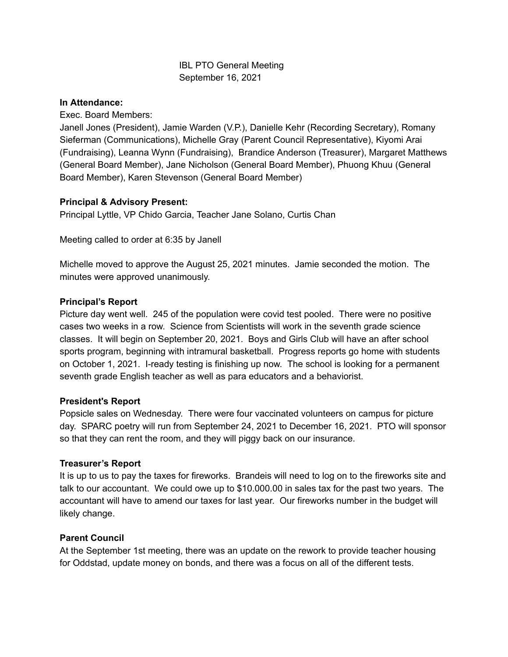# IBL PTO General Meeting September 16, 2021

### **In Attendance:**

Exec. Board Members:

Janell Jones (President), Jamie Warden (V.P.), Danielle Kehr (Recording Secretary), Romany Sieferman (Communications), Michelle Gray (Parent Council Representative), Kiyomi Arai (Fundraising), Leanna Wynn (Fundraising), Brandice Anderson (Treasurer), Margaret Matthews (General Board Member), Jane Nicholson (General Board Member), Phuong Khuu (General Board Member), Karen Stevenson (General Board Member)

# **Principal & Advisory Present:**

Principal Lyttle, VP Chido Garcia, Teacher Jane Solano, Curtis Chan

Meeting called to order at 6:35 by Janell

Michelle moved to approve the August 25, 2021 minutes. Jamie seconded the motion. The minutes were approved unanimously.

### **Principal's Report**

Picture day went well. 245 of the population were covid test pooled. There were no positive cases two weeks in a row. Science from Scientists will work in the seventh grade science classes. It will begin on September 20, 2021. Boys and Girls Club will have an after school sports program, beginning with intramural basketball. Progress reports go home with students on October 1, 2021. I-ready testing is finishing up now. The school is looking for a permanent seventh grade English teacher as well as para educators and a behaviorist.

### **President's Report**

Popsicle sales on Wednesday. There were four vaccinated volunteers on campus for picture day. SPARC poetry will run from September 24, 2021 to December 16, 2021. PTO will sponsor so that they can rent the room, and they will piggy back on our insurance.

### **Treasurer's Report**

It is up to us to pay the taxes for fireworks. Brandeis will need to log on to the fireworks site and talk to our accountant. We could owe up to \$10.000.00 in sales tax for the past two years. The accountant will have to amend our taxes for last year. Our fireworks number in the budget will likely change.

### **Parent Council**

At the September 1st meeting, there was an update on the rework to provide teacher housing for Oddstad, update money on bonds, and there was a focus on all of the different tests.